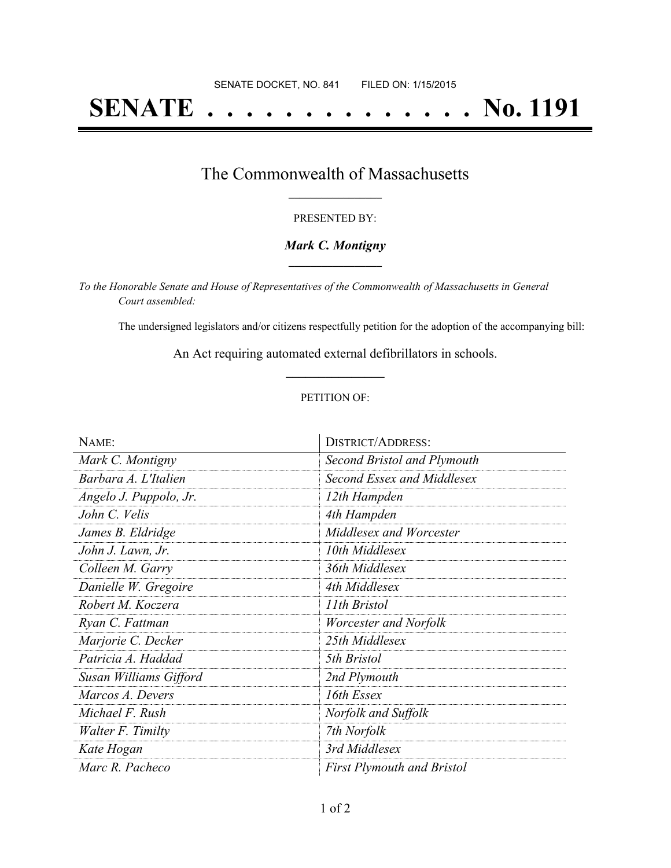# **SENATE . . . . . . . . . . . . . . No. 1191**

## The Commonwealth of Massachusetts **\_\_\_\_\_\_\_\_\_\_\_\_\_\_\_\_\_**

#### PRESENTED BY:

#### *Mark C. Montigny* **\_\_\_\_\_\_\_\_\_\_\_\_\_\_\_\_\_**

*To the Honorable Senate and House of Representatives of the Commonwealth of Massachusetts in General Court assembled:*

The undersigned legislators and/or citizens respectfully petition for the adoption of the accompanying bill:

An Act requiring automated external defibrillators in schools. **\_\_\_\_\_\_\_\_\_\_\_\_\_\_\_**

#### PETITION OF:

| NAME:                    | <b>DISTRICT/ADDRESS:</b>          |
|--------------------------|-----------------------------------|
| Mark C. Montigny         | Second Bristol and Plymouth       |
| Barbara A. L'Italien     | Second Essex and Middlesex        |
| Angelo J. Puppolo, Jr.   | 12th Hampden                      |
| John C. Velis            | 4th Hampden                       |
| James B. Eldridge        | Middlesex and Worcester           |
| John J. Lawn, Jr.        | 10th Middlesex                    |
| Colleen M. Garry         | 36th Middlesex                    |
| Danielle W. Gregoire     | 4th Middlesex                     |
| Robert M. Koczera        | 11th Bristol                      |
| Ryan C. Fattman          | Worcester and Norfolk             |
| Marjorie C. Decker       | 25th Middlesex                    |
| Patricia A. Haddad       | 5th Bristol                       |
| Susan Williams Gifford   | 2nd Plymouth                      |
| Marcos A. Devers         | 16th Essex                        |
| Michael F. Rush          | Norfolk and Suffolk               |
| <i>Walter F. Timilty</i> | 7th Norfolk                       |
| Kate Hogan               | 3rd Middlesex                     |
| Marc R. Pacheco          | <b>First Plymouth and Bristol</b> |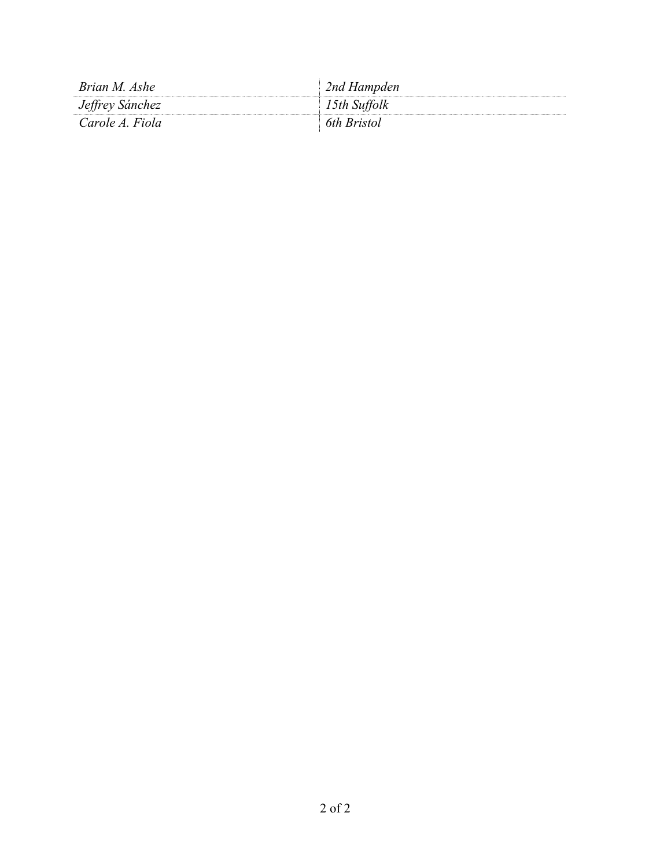| Brian M. Ashe   | 2nd Hampden  |
|-----------------|--------------|
| Jeffrey Sánchez | 15th Suffolk |
| Carole A. Fiola | 6th Bristol  |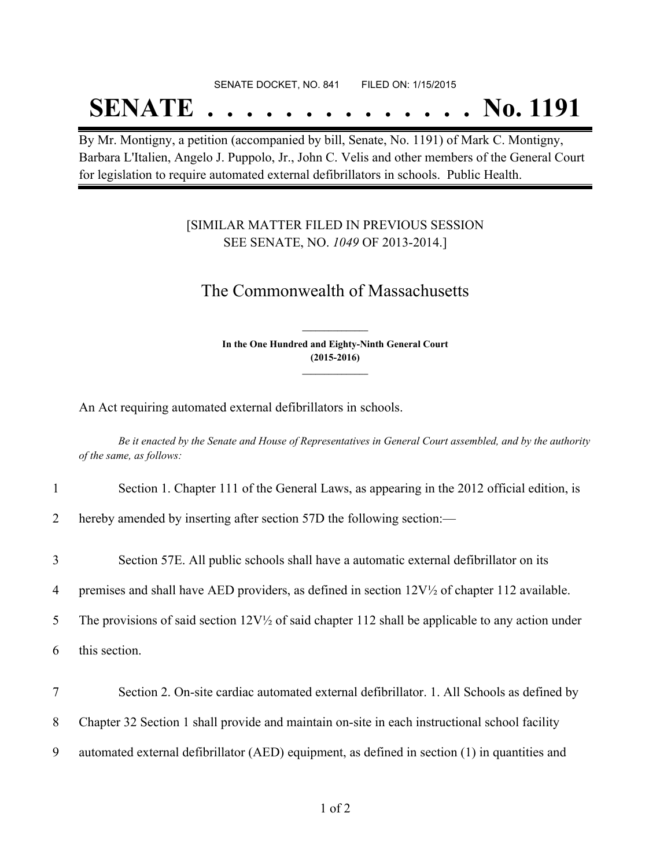#### SENATE DOCKET, NO. 841 FILED ON: 1/15/2015

## **SENATE . . . . . . . . . . . . . . No. 1191**

By Mr. Montigny, a petition (accompanied by bill, Senate, No. 1191) of Mark C. Montigny, Barbara L'Italien, Angelo J. Puppolo, Jr., John C. Velis and other members of the General Court for legislation to require automated external defibrillators in schools. Public Health.

### [SIMILAR MATTER FILED IN PREVIOUS SESSION SEE SENATE, NO. *1049* OF 2013-2014.]

## The Commonwealth of Massachusetts

**In the One Hundred and Eighty-Ninth General Court (2015-2016) \_\_\_\_\_\_\_\_\_\_\_\_\_\_\_**

**\_\_\_\_\_\_\_\_\_\_\_\_\_\_\_**

An Act requiring automated external defibrillators in schools.

Be it enacted by the Senate and House of Representatives in General Court assembled, and by the authority *of the same, as follows:*

|  | Section 1. Chapter 111 of the General Laws, as appearing in the 2012 official edition, is |  |  |
|--|-------------------------------------------------------------------------------------------|--|--|
|  |                                                                                           |  |  |

2 hereby amended by inserting after section 57D the following section:—

3 Section 57E. All public schools shall have a automatic external defibrillator on its

4 premises and shall have AED providers, as defined in section 12V½ of chapter 112 available.

5 The provisions of said section  $12V<sup>1</sup>$  of said chapter 112 shall be applicable to any action under

6 this section.

7 Section 2. On-site cardiac automated external defibrillator. 1. All Schools as defined by

8 Chapter 32 Section 1 shall provide and maintain on-site in each instructional school facility

9 automated external defibrillator (AED) equipment, as defined in section (1) in quantities and